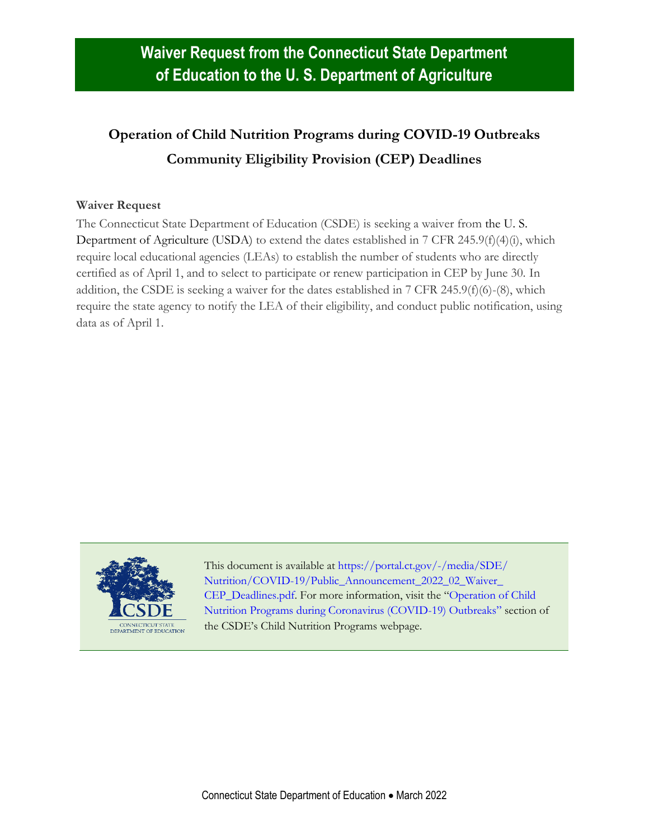## **Operation of Child Nutrition Programs during COVID-19 Outbreaks Community Eligibility Provision (CEP) Deadlines**

## **Waiver Request**

The Connecticut State Department of Education (CSDE) is seeking a waiver from the U. S. Department of Agriculture (USDA) to extend the dates established in 7 CFR 245.9(f)(4)(i), which require local educational agencies (LEAs) to establish the number of students who are directly certified as of April 1, and to select to participate or renew participation in CEP by June 30. In addition, the CSDE is seeking a waiver for the dates established in 7 CFR 245.9(f)(6)-(8), which require the state agency to notify the LEA of their eligibility, and conduct public notification, using data as of April 1.



This document is available at [https://portal.ct.gov/-/media/SDE/](https://portal.ct.gov/-/media/SDE/‌Nutrition/COVID-19/Public_Announcement_2022_02_Waiver_‌CEP_Deadlines.pdf) [Nutrition/COVID-19/Public\\_Announcement\\_2022\\_02\\_Waiver\\_](https://portal.ct.gov/-/media/SDE/‌Nutrition/COVID-19/Public_Announcement_2022_02_Waiver_‌CEP_Deadlines.pdf) [CEP\\_Deadlines.pdf.](https://portal.ct.gov/-/media/SDE/‌Nutrition/COVID-19/Public_Announcement_2022_02_Waiver_‌CEP_Deadlines.pdf) For more information, visit the "[Operation of Child](https://portal.ct.gov/SDE/Nutrition/Child-Nutrition-Programs#coronavirus)  [Nutrition Programs during Coronavirus \(COVID-19\) Outbreaks](https://portal.ct.gov/SDE/Nutrition/Child-Nutrition-Programs#coronavirus)" section of the CSDE's Child Nutrition Programs webpage.